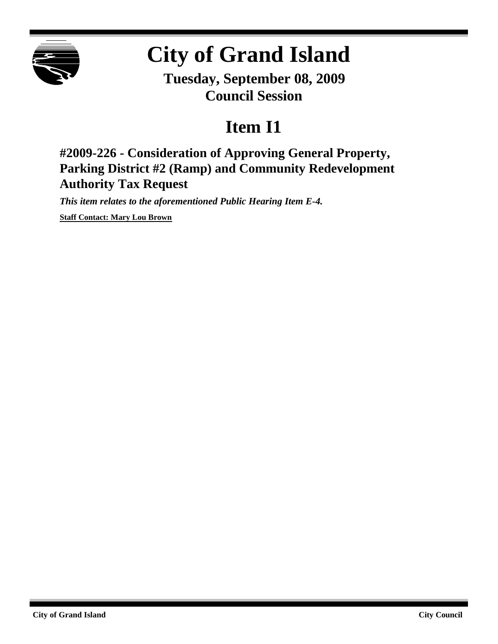

## **City of Grand Island**

**Tuesday, September 08, 2009 Council Session**

## **Item I1**

**#2009-226 - Consideration of Approving General Property, Parking District #2 (Ramp) and Community Redevelopment Authority Tax Request**

*This item relates to the aforementioned Public Hearing Item E-4.*

**Staff Contact: Mary Lou Brown**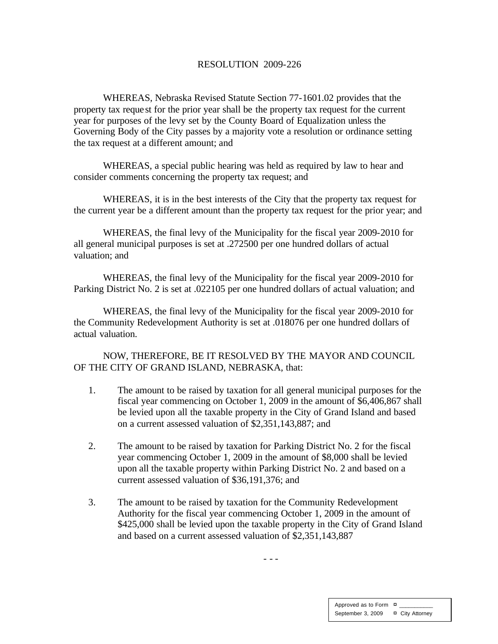## RESOLUTION 2009-226

WHEREAS, Nebraska Revised Statute Section 77-1601.02 provides that the property tax reque st for the prior year shall be the property tax request for the current year for purposes of the levy set by the County Board of Equalization unless the Governing Body of the City passes by a majority vote a resolution or ordinance setting the tax request at a different amount; and

WHEREAS, a special public hearing was held as required by law to hear and consider comments concerning the property tax request; and

WHEREAS, it is in the best interests of the City that the property tax request for the current year be a different amount than the property tax request for the prior year; and

WHEREAS, the final levy of the Municipality for the fiscal year 2009-2010 for all general municipal purposes is set at .272500 per one hundred dollars of actual valuation; and

WHEREAS, the final levy of the Municipality for the fiscal year 2009-2010 for Parking District No. 2 is set at .022105 per one hundred dollars of actual valuation; and

WHEREAS, the final levy of the Municipality for the fiscal year 2009-2010 for the Community Redevelopment Authority is set at .018076 per one hundred dollars of actual valuation.

NOW, THEREFORE, BE IT RESOLVED BY THE MAYOR AND COUNCIL OF THE CITY OF GRAND ISLAND, NEBRASKA, that:

- 1. The amount to be raised by taxation for all general municipal purposes for the fiscal year commencing on October 1, 2009 in the amount of \$6,406,867 shall be levied upon all the taxable property in the City of Grand Island and based on a current assessed valuation of \$2,351,143,887; and
- 2. The amount to be raised by taxation for Parking District No. 2 for the fiscal year commencing October 1, 2009 in the amount of \$8,000 shall be levied upon all the taxable property within Parking District No. 2 and based on a current assessed valuation of \$36,191,376; and
- 3. The amount to be raised by taxation for the Community Redevelopment Authority for the fiscal year commencing October 1, 2009 in the amount of \$425,000 shall be levied upon the taxable property in the City of Grand Island and based on a current assessed valuation of \$2,351,143,887

- - -